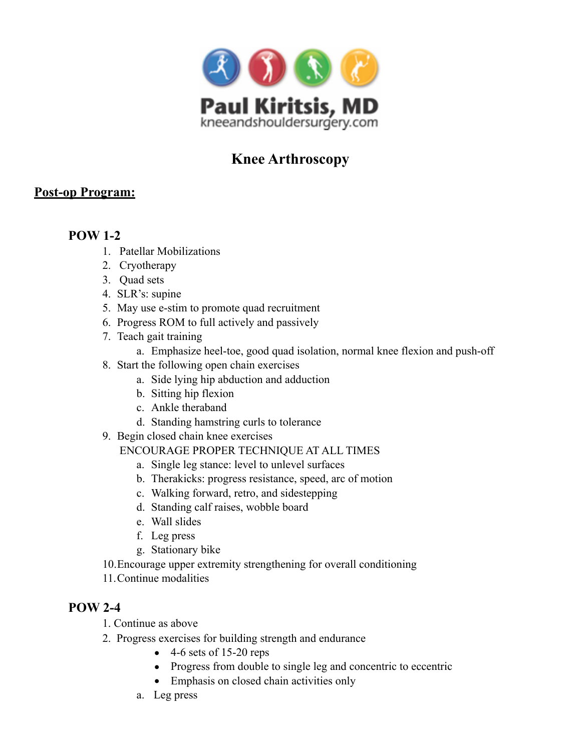

# **Knee Arthroscopy**

## **Post-op Program:**

## **POW 1-2**

- 1. Patellar Mobilizations
- 2. Cryotherapy
- 3. Quad sets
- 4. SLR's: supine
- 5. May use e-stim to promote quad recruitment
- 6. Progress ROM to full actively and passively
- 7. Teach gait training
	- a. Emphasize heel-toe, good quad isolation, normal knee flexion and push-off
- 8. Start the following open chain exercises
	- a. Side lying hip abduction and adduction
	- b. Sitting hip flexion
	- c. Ankle theraband
	- d. Standing hamstring curls to tolerance
- 9. Begin closed chain knee exercises
	- ENCOURAGE PROPER TECHNIQUE AT ALL TIMES
		- a. Single leg stance: level to unlevel surfaces
		- b. Therakicks: progress resistance, speed, arc of motion
		- c. Walking forward, retro, and sidestepping
		- d. Standing calf raises, wobble board
		- e. Wall slides
		- f. Leg press
		- g. Stationary bike
- 10.Encourage upper extremity strengthening for overall conditioning
- 11.Continue modalities

## **POW 2-4**

- 1. Continue as above
- 2. Progress exercises for building strength and endurance
	- $\bullet$  4-6 sets of 15-20 reps
	- Progress from double to single leg and concentric to eccentric
	- Emphasis on closed chain activities only
	- a. Leg press